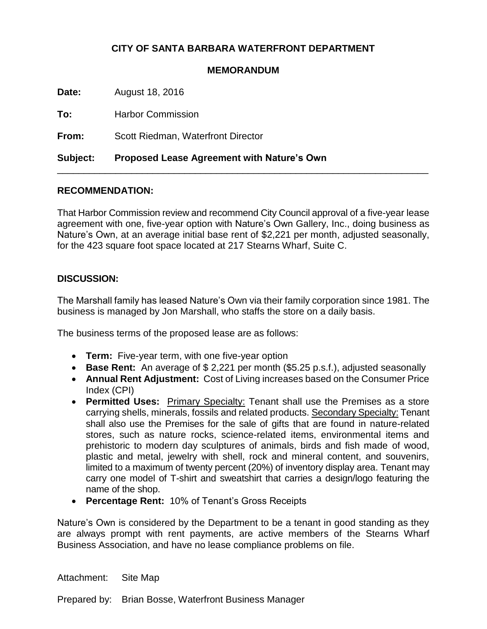## **CITY OF SANTA BARBARA WATERFRONT DEPARTMENT**

## **MEMORANDUM**

**Date:** August 18, 2016

**To:** Harbor Commission

**From:** Scott Riedman, Waterfront Director

**Subject: Proposed Lease Agreement with Nature's Own**

## **RECOMMENDATION:**

That Harbor Commission review and recommend City Council approval of a five-year lease agreement with one, five-year option with Nature's Own Gallery, Inc., doing business as Nature's Own, at an average initial base rent of \$2,221 per month, adjusted seasonally, for the 423 square foot space located at 217 Stearns Wharf, Suite C.

\_\_\_\_\_\_\_\_\_\_\_\_\_\_\_\_\_\_\_\_\_\_\_\_\_\_\_\_\_\_\_\_\_\_\_\_\_\_\_\_\_\_\_\_\_\_\_\_\_\_\_\_\_\_\_\_\_\_\_\_\_\_\_\_\_\_\_\_\_\_

## **DISCUSSION:**

The Marshall family has leased Nature's Own via their family corporation since 1981. The business is managed by Jon Marshall, who staffs the store on a daily basis.

The business terms of the proposed lease are as follows:

- **Term:** Five-year term, with one five-year option
- **Base Rent:** An average of \$ 2,221 per month (\$5.25 p.s.f.), adjusted seasonally
- **Annual Rent Adjustment:** Cost of Living increases based on the Consumer Price Index (CPI)
- **Permitted Uses:** Primary Specialty: Tenant shall use the Premises as a store carrying shells, minerals, fossils and related products. Secondary Specialty: Tenant shall also use the Premises for the sale of gifts that are found in nature-related stores, such as nature rocks, science-related items, environmental items and prehistoric to modern day sculptures of animals, birds and fish made of wood, plastic and metal, jewelry with shell, rock and mineral content, and souvenirs, limited to a maximum of twenty percent (20%) of inventory display area. Tenant may carry one model of T-shirt and sweatshirt that carries a design/logo featuring the name of the shop.
- **Percentage Rent:** 10% of Tenant's Gross Receipts

Nature's Own is considered by the Department to be a tenant in good standing as they are always prompt with rent payments, are active members of the Stearns Wharf Business Association, and have no lease compliance problems on file.

Attachment: Site Map

Prepared by: Brian Bosse, Waterfront Business Manager